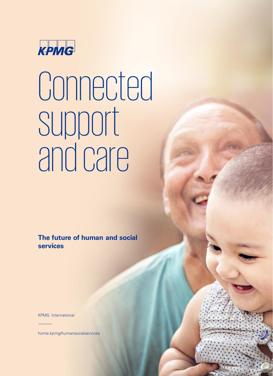

# Connected support and care

**The future of human and social services**

©2021 Copyright owned by one or more of the KPMG International entities. KPMG International entities provide no services to clients. All rights reserved.

Throughout this document, "we "our" refers to the global organization or to one or more or more or more or more or more or more or more or more or more or more or more or more or more or more or more or more or more or mor

Connected support and care 10 million

KPMG International

[home.kpmg/humansocialservices](http://home.kpmg/humansocialservices)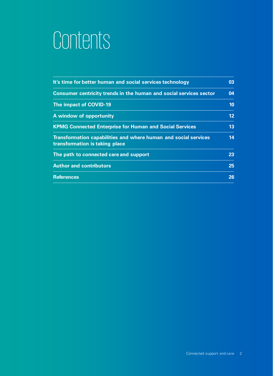## Contents

| It's time for better human and social services technology                                         | 03              |
|---------------------------------------------------------------------------------------------------|-----------------|
| <b>Consumer centricity trends in the human and social services sector</b>                         | 04              |
| The impact of COVID-19                                                                            | 10              |
| A window of opportunity                                                                           | 12              |
| <b>KPMG Connected Enterprise for Human and Social Services</b>                                    | 13              |
| Transformation capabilities and where human and social services<br>transformation is taking place | 14              |
| The path to connected care and support                                                            | 23              |
| <b>Author and contributors</b>                                                                    | 25 <sub>1</sub> |
| <b>References</b>                                                                                 | 26              |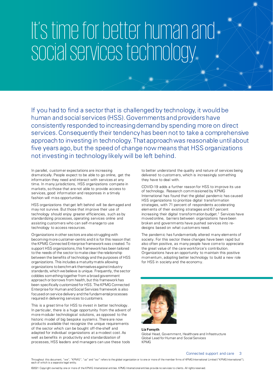## It's time for better human and social services technology

If you had to find a sector that is challenged by technology, it would be human and social services (HSS). Governments and providers have consistently responded to increasing demand by spending more on direct services. Consequently their tendency has been not to take a comprehensive approach to investing in technology. That approach was reasonable until about five years ago, but the speed of change now means that HSS organizations not investing in technology likely will be left behind.

In parallel, customer expectations are increasing dramatically. People expect to be able to go online, get the information they need and interact with services at any time. In many jurisdictions, HSS organizations compete in markets, so those that are not able to provide access to services, good information and responses in a timely fashion will miss opportunities.

HSS organizations that get left behind will be damaged and may not survive. But those that improve their use of technology should enjoy greater efficiencies, such as by standardizing processes, operating services online and assisting customers who can self-manage to use technology to access resources.

Organizations in other sectors are also struggling with becoming more customer-centric and it is for this reason that the KPMG Connected Enterprise framework was created. To support HSS organizations, this framework has been tailored to the needs of the sector to make clear the relationship between the benefits of technology and the purposes of HSS organizations. This includes a maturity matrix allowing organizations to benchmark themselves against industry standards, which we believe is unique. Frequently, the sector cobbles something together from a broad government approach or borrows from health, but this framework has been specifically customized for HSS. The KPMG Connected Enterprise for Human and Social Services framework is also focused on service delivery and the fundamental processes required in delivering services to customers.

This is a great time for HSS to invest in better technology. In particular, there is a huge opportunity from the advent of more modular technological solutions, as opposed to the historic model of big bespoke systems. There are now products available that recognize the unique requirements of the sector which can be bought off-the-shelf and adapted for individual organizations at a modest cost. As well as benefits in productivity and standardization of processes, HSS leaders and managers can use these tools

to better understand the quality and nature of services being delivered to customers, which is increasingly something they have to deal with.

COVID-19 adds a further reason for HSS to improve its use of technology. Research commissioned by KPMG International has found that the global pandemic has caused HSS organizations to prioritize digital transformation strategies, with 71 percent of respondents accelerating elements of their existing strategies and 67 percent increasing their digital transformation budget.<sup>1</sup> Services have moved online, barriers between organizations have been broken and governments have pushed services into redesigns based on what customers need.

The pandemic has fundamentally altered many elements of society. For this sector these changes have been rapid but also often positive, as many people have come to appreciate the great value of the care workforce's contribution. Organizations have an opportunity to maintain this positive momentum, adopting better technology to build a new role for HSS in society and the economy.



Liz Forsyth Global Head, Government, Healthcare and Infrastructure Global Lead for Human and Social Services KPMG

Connected support and care 3

Throughout this document, "we", "KPMG", "us" and "our" refers to the global organization or to one or more of the member firms of KPMG International Limited ("KPMG International"),<br>each of which is a separate legal entity.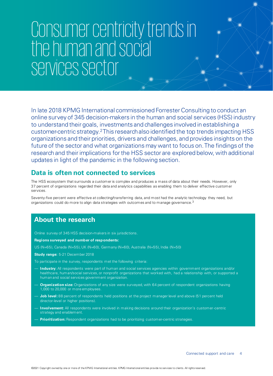## Consumer centricity trends in the human and social services sector

In late 2018 KPMG International commissioned Forrester Consulting to conduct an online survey of 345 decision-makers in the human and social services (HSS) industry to understand their goals, investments and challenges involved in establishing a customer-centric strategy.<sup>2</sup>This research also identified the top trends impacting HSS organizations and their priorities, drivers and challenges, and provides insights on the future of the sector and what organizations may want to focus on. The findings of the research and their implications for the HSS sector are explored below, with additional updates in light of the pandemic in the following section.

## **Data is often not connected to services**

The HSS ecosystem that surrounds a customer is complex and produces a mass of data about their needs. However, only 37 percent of organizations regarded their data and analytics capabilities as enabling them to deliver effective customer services.

Seventy-five percent were effective at collecting/transferring data, and most had the analytic technology they need, but organizations could do more to align data strategies with outcomes and to manage governance.<sup>3</sup>

## **About the research**

Online survey of 345 HSS decision-makers in six jurisdictions.

**Regions surveyed and number of respondents:** 

US (N=65), Canada (N=55), UK (N=60), Germany (N=60), Australia (N=55), India (N=50)

**Study range:** 5-21 December 2018

To participate in the survey, respondents met the following criteria:

- **Industry:** All respondents were part of human and social services agencies within government organizations and/or healthcare, human/social services, or nonprofit organizations that worked with, had a relationship with, or supported a human and social services government organization.
- **Organization size:** Organizations of any size were surveyed, with 64 percent of respondent organizations having 1,000 to 20,000 or more employees.
- **Job level:** 88 percent of respondents held positions at the project manager level and above (51 percent held director-level or higher positions).
- **Involvement:** All respondents were involved in making decisions around their organization's customer-centric strategy and enablement.
- **Prioritization:** Respondent organizations had to be prioritizing customer-centric strategies.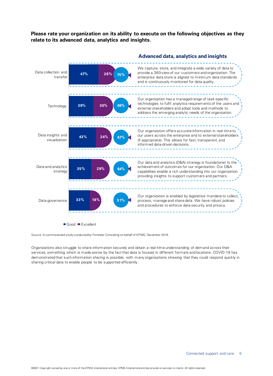**Please rate your organization on its ability to execute on the following objectives as they relate to its advanced data, analytics and insights.**



Source: A commissioned study conducted by Forrester Consulting on behalf of KPMG, December 2018.

Organizations also struggle to share information securely and obtain a real-time understanding of demand across their services, something which is made worse by the fact that data is housed in different formats and locations. COVID-19 has demonstrated that such information sharing is possible, with many organizations showing that they could respond quickly in sharing critical data to enable people to be supported efficiently.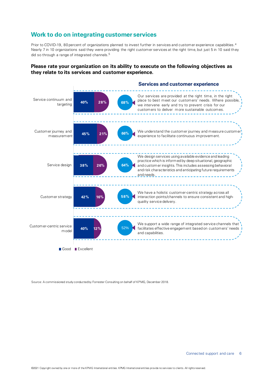## **Work to do on integrating customer services**

Prior to COVID-19, 80 percent of organizations planned to invest further in services and customer experience capabilities.<sup>4</sup> Nearly 7 in 10 organizations said they were providing the right customer services at the right time, but just 5 in 10 said they did so through a range of integrated channels.<sup>5</sup>

### **Please rate your organization on its ability to execute on the following objectives as they relate to its services and customer experience.**



Source: A commissioned study conducted by Forrester Consulting on behalf of KPMG, December 2018.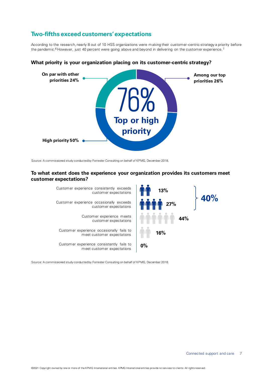## **Two-fifths exceed customers' expectations**

According to the research, nearly 8 out of 10 HSS organizations were making their customer-centric strategy a priority before the pandemic.<sup>6</sup> However, just 40 percent were going above and beyond in delivering on the customer experience.<sup>7</sup>



### **What priority is your organization placing on its customer-centric strategy?**

Source: A commissioned study conducted by Forrester Consulting on behalf of KPMG, December 2018.

### **To what extent does the experience your organization provides its customers meet customer expectations?**



Source: A commissioned study conducted by Forrester Consulting on behalf of KPMG, December 2018.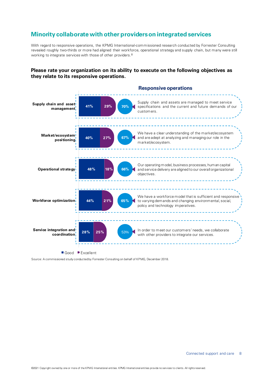## **Minority collaborate with other providers on integrated services**

With regard to responsive operations, the KPMG International-commissioned research conducted by Forrester Consulting revealed roughly two-thirds or more had aligned their workforce, operational strategy and supply chain, but many were still working to integrate services with those of other providers.<sup>8</sup>

### **Please rate your organization on its ability to execute on the following objectives as they relate to its responsive operations.**



Source: A commissioned study conducted by Forrester Consulting on behalf of KPMG, December 2018.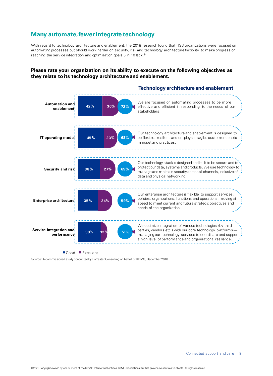## **Many automate, fewer integrate technology**

With regard to technology architecture and enablement, the 2018 research found that HSS organizations were focused on automating processes but should work harder on security, risk and technology architecture flexibility to make progress on reaching the service integration and optimization goals 5 in 10 lack.<sup>9</sup>

### **Please rate your organization on its ability to execute on the following objectives as they relate to its technology architecture and enablement.**



Source: A commissioned study conducted by Forrester Consulting on behalf of KPMG, December 2018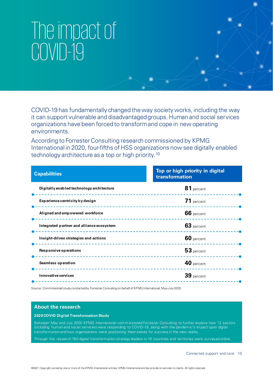## The impact of COVID-19

COVID-19 has fundamentally changed the way society works, including the way it can support vulnerable and disadvantaged groups. Human and social services organizations have been forced to transform and cope in new operating environments.

According to Forrester Consulting research commissioned by KPMG International in 2020, four-fifths of HSS organizations now see digitally enabled technology architecture as a top or high priority.<sup>10</sup>

| <b>Capabilities</b>                       | Top or high priority in digital<br>transformation |
|-------------------------------------------|---------------------------------------------------|
| Digitally enabled technology architecture | 81 percent<br>------------------                  |
| Experience centricity by design           | 71 percent                                        |
| Aligned and empowered workforce           | 66 percent<br>. <u>.</u>                          |
| Integrated partner and alliance ecosystem | 63 percent                                        |
| Insight-driven strategies and actions     | 60 percent<br>. <u>.</u> 0                        |
| Responsive operations                     | 53 percent                                        |
| <b>Seamless operation</b>                 | 40 percent<br>.                                   |
| Innovative services                       | 39 percent                                        |

Source: Commissioned study conducted by Forrester Consulting on behalf of KPMG International, May-July 2020.

#### **About the research**

#### **2020 COVID Digital Transformation Study**

Between May and July 2020 KPMG International commissioned Forrester Consulting to further explore how 12 sectors (including human and social services) were responding to COVID-19, along with the pandemic's impact upon digital transformation and how organizations were positioning themselves for success in the new reality.

Through this research 780 digital transformation strategy leaders in 10 countries and territories were surveyed online.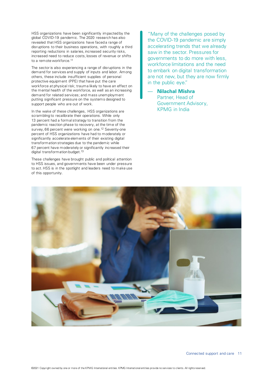HSS organizations have been significantly impacted by the global COVID-19 pandemic. The 2020 research has also revealed that HSS organizations have faced a range of disruptions to their business operations, with roughly a third reporting reductions in salaries, increased security risks, increased need to reduce costs, losses of revenue or shifts to a remote workforce.<sup>11</sup>

The sector is also experiencing a range of disruptions in the demand for services and supply of inputs and labor. Among others, these include insufficient supplies of personal protective equipment (PPE) that have put the care workforce at physical risk; trauma likely to have an effect on the mental health of the workforce, as well as an increasing demand for related services; and mass unemployment putting significant pressure on the systems designed to support people who are out of work.

In the wake of these challenges, HSS organizations are scrambling to recalibrate their operations. While only 13 percent had a formal strategy to transition from the pandemic reaction phase to recovery, at the time of the survey, 66 percent were working on one.<sup>12</sup> Seventy-one percent of HSS organizations have had to moderately or significantly accelerate elements of their existing digital transformation strategies due to the pandemic while 67 percent have moderately or significantly increased their digital transformation budget.<sup>13</sup>

These challenges have brought public and political attention to HSS issues, and governments have been under pressure to act. HSS is in the spotlight and leaders need to make use of this opportunity.

"Many of the challenges posed by the COVID-19 pandemic are simply accelerating trends that we already saw in the sector. Pressures for governments to do more with less, workforce limitations and the need to embark on digital transformation are not new, but they are now firmly in the public eye."

— **Nilachal Mishra** Partner, Head of Government Advisory, KPMG in India

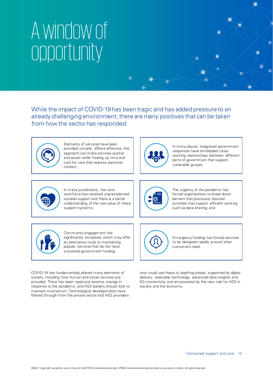## A window of opportunity

While the impact of COVID-19 has been tragic and has added pressure to an already challenging environment, there are many positives that can be taken from how the sector has responded:



Elements of services have been provided virtually. Where effective, this approach can make services quicker and easier while freeing up time and cost for care that requires personal contact;



In many places, integrated government responses have embedded close working relationships between different parts of government that support vulnerable groups;



In many jurisdictions, the care workforce has received unprecedented societal support and there is a better understanding of the real value of these support systems;



The urgency of the pandemic has forced organizations to break down barriers that previously blocked activities that support efficient working such as data-sharing; and



Community engagement has significantly increased, which may offer an alternative route to maintaining popular services that do not have sustained government funding;

Emergency funding has forced services to be designed rapidly around what customers need.

COVID-19 has fundamentally altered many elements of society, including how human and social services are provided. There has been rapid and positive change in response to the pandemic, and HSS leaders should look to maintain momentum. Technological developments have filtered through from the private sector and HSS providers

now could use these to leapfrog ahead, supported by digital delivery, wearable technology, advanced data insights and 5G connectivity and empowered by the new role for HSS in society and the economy.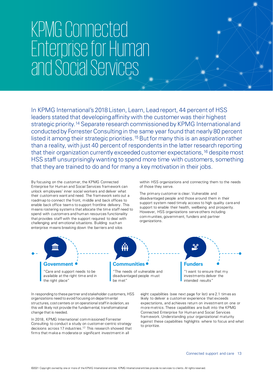## KPMG Connected Enterprise for Human and Social Services

In KPMG International's 2018 Listen, Learn, Lead report, 44 percent of HSS leaders stated that developing affinity with the customer was their highest strategic priority.<sup>14</sup> Separate research commissioned by KPMG International and conducted by Forrester Consulting in the same year found that nearly 80 percent listed it among their strategic priorities.<sup>15</sup> But for many this is an aspiration rather than a reality, with just 40 percent of respondents in the latter research reporting that their organization currently exceeded customer expectations,<sup>16</sup> despite most HSS staff unsurprisingly wanting to spend more time with customers, something that they are trained to do and for many a key motivation in their jobs.

By focusing on the customer, the KPMG Connected Enterprise for Human and Social Services framework can unlock employees' inner social workers and deliver what their customers want and need. The framework sets out a roadmap to connect the front, middle and back offices to enable back office teams to support frontline delivery. This means rostering systems that allocate the time staff need to spend with customers and human resources functionality that provides staff with the support required to deal with challenging and emotional situations. Building such an enterprise means breaking down the barriers and silos

within HSS organizations and connecting them to the needs of those they serve.

The primary customer is clear. Vulnerable and disadvantaged people and those around them in their support system need timely access to high quality care and support to enable their health, wellbeing and prosperity. However, HSS organizations serve others including communities, government, funders and partner organizations.



In responding to these partner and stakeholder customers, HSS organizations need to avoid focusing on departmental structures, cost centers or on operational staff in isolation, as this will likely not provide the fundamental, transformational change that is needed.

In 2018, KPMG International commissioned Forrester Consulting to conduct a study on customer-centric strategy decisions across 17 industries.<sup>17</sup> This research showed that firms that make a moderate or significant investment in all

eight capabilities (see next page for list) are 2.1 times as likely to deliver a customer experience that exceeds expectations, and achieves return on investment on one or more metrics. These capabilities are built into the KPMG Connected Enterprise for Human and Social Services framework. Understanding your organizational maturity against these capabilities highlights where to focus and what to prioritize.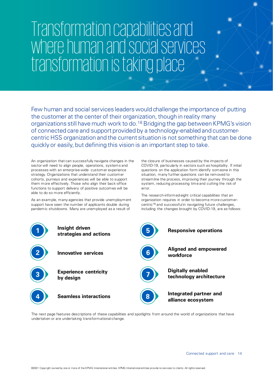## Transformation capabilities and where human and social services transformation is taking place

Few human and social services leaders would challenge the importance of putting the customer at the center of their organization, though in reality many organizations still have much work to do.<sup>18</sup> Bridging the gap between KPMG's vision of connected care and support provided by a technology-enabled and customercentric HSS organization and the current situation is not something that can be done quickly or easily, but defining this vision is an important step to take.

An organization that can successfully navigate changes in the sector will need to align people, operations, systems and processes with an enterprise-wide customer experience strategy. Organizations that understand their customer cohorts, journeys and experiences will be able to support them more effectively. Those who align their back-office functions to support delivery of positive outcomes will be able to do so more efficiently.

As an example, many agencies that provide unemployment support have seen the number of applicants double during pandemic shutdowns. Many are unemployed as a result of

the closure of businesses caused by the impacts of COVID-19, particularly in sectors such as hospitality. If initial questions on the application form identify someone in this situation, many further questions can be removed to streamline the process, improving their journey through the system, reducing processing time and cutting the risk of error.

The research-informed eight critical capabilities that an organization requires in order to become more customercentric<sup>19</sup> and successful in navigating future challenges, including the changes brought by COVID-19, are as follows:



The next page features descriptions of these capabilities and spotlights from around the world of organizations that have undertaken or are undertaking transformational change.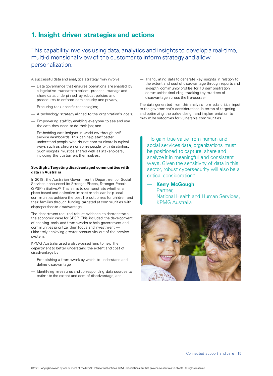## **1. Insight driven strategies and actions**

This capabilityinvolves using data, analytics and insights to develop a real-time, multi-dimensional view of the customer to inform strategy and allow personalization.

A successful data and analytics strategy may involve:

- Data governance that ensures operations are enabled by a legislative mandate to collect, process, manage and share data, underpinned by robust policies and procedures to enforce data security and privacy;
- Procuring task-specific technologies;
- A technology strategy aligned to the organization's goals;
- Empowering staff by enabling everyone to see and use the data they need to do their job; and
- Embedding data insights in workflow through selfservice dashboards. This can help staff better understand people who do not communicate in typical ways such as children or some people with disabilities. Such insights must be shared with all stakeholders, including the customers themselves.

#### **Spotlight: Targeting disadvantaged communities with data in Australia**

In 2018, the Australian Government's Department of Social Services announced its Stronger Places, Stronger People (SPSP) initiative.<sup>20</sup> This aims to demonstrate whether a place-based and collective impact model can help local communities achieve the best life outcomes for children and their families through funding targeted at communities with disproportionate disadvantage.

The department required robust evidence to demonstrate the economic case for SPSP. This included the development of enabling tools and frameworks to help government and communities prioritize their focus and investment ultimately achieving greater productivity out of the service system.

KPMG Australia used a place-based lens to help the department to better understand the extent and cost of disadvantage by:

- Establishing a framework by which to understand and define disadvantage
- Identifying measures and corresponding data sources to estimate the extent and cost of disadvantage; and

— Triangulating data to generate key insights in relation to the extent and cost of disadvantage through reports and in-depth community profiles for 10 demonstration communities (including tracking key markers of disadvantage across the life-course).

The data generated from this analysis formed a critical input to the government's considerations in terms of targeting and optimizing the policy design and implementation to maximize outcomes for vulnerable communities.

"To gain true value from human and social services data, organizations must be positioned to capture, share and analyze it in meaningful and consistent ways. Given the sensitivity of data in this sector, robust cybersecurity will also be a critical consideration."

— **Kerry McGough** Partner, National Health and Human Services, KPMG Australia

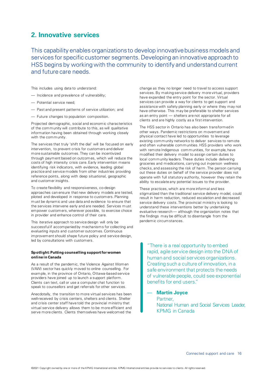## **2. Innovative services**

This capability enables organizations to develop innovative business models and services for specific customer segments. Developing an innovative approach to HSS begins by working with the community to identify and understand current and future care needs.

This includes using data to understand:

- Incidence and prevalence of vulnerability;
- Potential service need;
- Past and present patterns of service utilization; and
- Future changes to population composition.

Projected demographic, social and economic characteristics of the community will contribute to this, as will qualitative information having been obtained through working closely with the community.

The services that truly 'shift the dial' will be focused on early intervention, to prevent crisis for customers and deliver more sustainable outcomes. They can be incentivized through payment based on outcomes, which will reduce the costs of high intensity crisis care. Early intervention means identifying risk indicators, with evidence, leading global practice and service models from other industries providing reference points, along with deep situational, geographic and customer insights.

To create flexibility and responsiveness, co-design approaches can ensure that new delivery models are tested, piloted and developed in response to customers. Planning must be dynamic and use data and evidence to ensure that the services intervene early and are needed. Services must empower customers, wherever possible, to exercise choice in provider and enhance control of their care.

This iterative approach to service design will only be successful if accompanied by mechanisms for collecting and evaluating inputs and customer outcomes. Continuous improvement should shape future policy and service design, led by consultations with customers.

#### **Spotlight: Putting counselling support for women online in Canada**

As a result of the pandemic, the Violence Against Women (VAW) sector has quickly moved to online counselling. For example, in the province of Ontario, Ottawa-based service providers have joined up to launch a support platform. Clients can text, call or use a computer chat function to speak to counsellors and get referrals for other services.

Anecdotally, the transition to more virtual services has been well-received by crisis centers, shelters and clients. Shelter and crisis center staff have told the provincial ministry that virtual service delivery allows them to be more efficient and serve more clients. Clients themselves have welcomed the

change as they no longer need to travel to access support services. By making service delivery more virtual, providers have expanded the entry point for the sector. Virtual services can provide a way for clients to get support and assistance with safety planning early or where they may not have otherwise. This may be preferable to shelter services as an entry point — shelters are not appropriate for all clients and are highly costly as a first intervention.

The HSS sector in Ontario has also been transformed in other ways. Pandemic restrictions on movement and physical contact have led to opportunities to leverage existing community networks to deliver services to remote and often vulnerable communities. HSS providers who work with remote Indigenous communities, for example, have modified their delivery model to assign certain duties to local community leaders. These duties include delivering groceries and medications, carrying out in-person wellness checks, and assessing the risk of harm. The person carrying out these duties on behalf of the service provider does not operate with full statutory authority, however they retain the ability to escalate any potential issues to the provider.

These practices, which are more informal and less stigmatized than the traditional service delivery model, could result in harm reduction, reduced escalation and decreased service delivery costs. The provincial ministry is looking to understand these interventions better by undertaking evaluative research — although the organization notes that the findings may be difficult to disentangle from the pandemic circumstances.

"There is a real opportunity to embed rapid, agile service design into the DNA of human and social services organizations. Creating such a culture of innovation, in a safe environment that protects the needs of vulnerable people, could see exponential benefits for end users."

#### — **Martin Joyce**

Partner, National Human and Social Services Leader, KPMG in Canada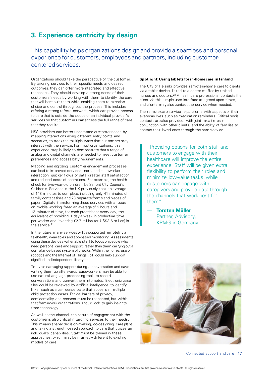## **3. Experience centricity by design**

This capability helps organizations design and provide a seamless and personal experience for customers, employees and partners, including customercentered services.

Organizations should take the perspective of the customer. By tailoring services to their specific needs and desired outcomes, they can offer more integrated and effective responses. They should develop a strong sense of their customers' needs by working with them to identify the care that will best suit them while enabling them to exercise choice and control throughout the process. This includes offering a strong referral network, which can provide access to care that is outside the scope of an individual provider's services so that customers can access the full range of care that they require.

HSS providers can better understand customer needs by mapping interactions along different entry points and scenarios, to track the multiple ways that customers may interact with the service. For most organizations, this experience map is likely to demonstrate that a range of analog and digital channels are needed to meet customer preferences and accessibility requirements.

Mapping and digitizing customer engagement processes can lead to improved services, increased caseworker interaction, quicker flows of data, greater staff satisfaction and reduced costs of operations. For example, the health check for two-year-old children by Salford City Council's Children's Services in the UK previously took an average of 148 minutes to complete, including only 41 minutes of family contact time and 23 separate forms and pieces of paper. Digitally transforming these services with a focus on mobile working freed an average of 2 hours and 13 minutes of time, for each practitioner every day, the equivalent of providing 1 day a week in productive time per worker and investing £2.7 million (or US\$3.6 million) in the service.<sup>21</sup>

In the future, many services will be supported remotely via telehealth, wearables and app-based monitoring. Assessments using these devices will enable staff to focus on people who need personal care and support, rather than them carrying out a compliance-based system of checks. Within the home, use of robotics and the Internet of Things (IoT) could help support dignified and independent lifestyles.

To avoid damaging rapport during a conversation and save writing them up afterwards, caseworkers may be able to use natural language processing tools to record conversations and convert them into notes. Electronic case files could be reviewed by artificial intelligence to identify links, such as a car license plate that appears in multiple child protection cases. Ethical barriers of privacy, confidentiality and consent must be respected, but within that framework organizations should look to gain insights from technology.

As well as the channel, the nature of engagement with the customer is also critical in tailoring services to their needs. This means shared decision-making, co-designing care plans and taking a strength-based approach to care that utilizes an individual's capabilities. Staff must be trained in these approaches, which may be markedly different to existing models of care.

#### **Spotlight: Using tablets for in-home care in Finland**

The City of Helsinki provides remote in-home care to clients via a tablet device, linked to a center staffed by trained nurses and doctors.<sup>22</sup> A healthcare professional contacts the client via this simple user interface at agreed-upon times, and clients may also contact the service when needed.

The remote care service helps clients with aspects of their everyday lives such as medication reminders. Critical social contacts are also provided, with joint mealtimes in conjunction with other clients, and the ability of families to contact their loved ones through the same device.

"Providing options for both staff and customers to engage with their healthcare will improve the entire experience. Staff will be given extra flexibility to perform their roles and minimize low-value tasks, while customers can engage with caregivers and provide data through the channels that work best for them."

— **Torsten Müller**  Partner, Advisory, KPMG in Germany



Connected support and care 17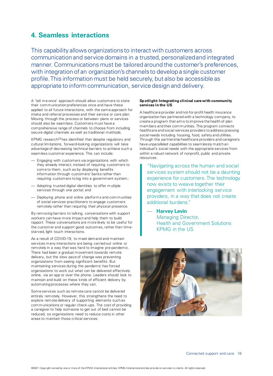## **4. Seamless interactions**

This capability allows organizations to interact with customers across communication and service domains in a trusted, personalized and integrated manner. Communications must be tailored around the customer's preferences, with integration of an organization's channels to develop a single customer profile. This information must be held securely, but also be accessible as appropriate to inform communication, service design and delivery.

A 'tell me once' approach should allow customers to state their communication preferences once and have these applied to all future interactions, with the same approach for intake and referral processes and their service or care plan. Moving through the process or between plans or services should also be seamless. Customers must have a comprehensive range of channels to choose from including secure digital channels as well as traditional methods.

KPMG research<sup>23</sup> has identified that despite regulatory and cultural limitations, forward-looking organizations will take advantage of decreasing technical barriers to achieve such a seamless customer experience. This can include:

- Engaging with customers via organizations with which they already interact, instead of requiring customers to come to them, such as by displaying benefits information through customers' banks rather than requiring customers to log into a government system;
- Adopting trusted digital identities to offer multiple services through one portal; and
- Deploying phone and online platforms and communities of social services practitioners to engage customers remotely rather than requiring their physical presence.

By removing barriers to talking, conversations with support workers can have more impact and help them to build rapport. These conversations are more likely to be useful for the customer and support good outcomes, rather than timestarved, light touch interactions.

As a result of COVID-19, to meet demand and maintain services many interactions are being carried out online or remotely in a way that was hard to imagine pre-pandemic. There had been a gradual movement towards remote delivery, but the slow pace of change was preventing organizations from seeing significant benefits. But maintaining services during the pandemic has forced organizations to work out what can be delivered effectively online, via an app or over the phone. Leaders should look to maintain and build on these kinds of efficient delivery by automating processes where they can.

Some services such as remote care cannot be delivered entirely remotely. However, this strengthens the need to explore remote delivery of supporting elements such as communications or regular check-ups. The cost of providing a caregiver to help someone to get out of bed cannot be reduced, so organizations need to reduce costs in other areas to maintain those critical services.

#### **Spotlight: Integrating clinical care with community services in the US**

A healthcare provider and not-for-profit health insurance organization has partnered with a technology company, to create a program that aims to improve the health of plan members and their communities. This program connects healthcare and social services providers to address pressing social needs including housing, food, safety and utilities. Through this partnership healthcare providers and caregivers have unparalleled capabilities to seamlessly match an individual's social needs with the appropriate services from within a robust network of nonprofit, public and private resources.

"Navigating across the human and social services system should not be a daunting experience for customers. The technology now exists to weave together their engagement with interlocking service providers, in a way that does not create additional burdens."

— **Harvey Levin** Managing Director, Health and Government Solutions KPMG in the US

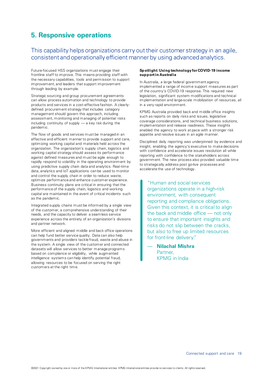## **5. Responsive operations**

## This capability helps organizations carry out their customer strategy in an agile, consistent and operationally efficient manner by using advanced analytics.

Future-focused HSS organizations must engage their frontline staff to improve. This means providing staff with the necessary capabilities, tools and permission to support improvement, and leaders that support improvement through leading by example.

Strategic sourcing and group procurement agreements can allow process automation and technology to provide products and services in a cost-effective fashion. A clearlydefined procurement strategy that includes category management should govern this approach, including assessment, monitoring and managing of potential risks including continuity of supply — a key risk during the pandemic.

The flow of goods and services must be managed in an effective and efficient manner to provide support and care, optimizing working capital and materials held across the organization. The organization's supply chain, logistics and working capital strategy should assess its performance against defined measures and must be agile enough to rapidly respond to volatility in the operating environment by using predictive supply chain data and analytics. Real-time data, analytics and IoT applications can be used to monitor and control the supply chain in order to reduce waste, optimize performance and enhance customer experience. Business continuity plans are critical in ensuring that the performance of the supply chain, logistics and working capital are maintained in the event of critical incidents such as the pandemic.

Integrated supply chains must be informed by a single view of the customer, a comprehensive understanding of their needs, and the capacity to deliver a seamless service experience across the entirety of an organization's divisions and partner network.

More efficient and aligned middle and back office operations can help fund better service quality. Data can also help governments and providers tackle fraud, waste and abuse in the system. A single view of the customer and connected datasets will allow services to better manage programs based on compliance or eligibility, while augmented intelligence systems can help identify potential fraud, allowing resources to be focused on serving the right customers at the right time.

#### **Spotlight: Using technology for COVID-19 income support in Australia**

In Australia, a large federal government agency implemented a range of income support measures as part of the country's COVID-19 response. This required new legislation, significant system modifications and technical implementation and large-scale mobilization of resources, all in a very rapid environment.

KPMG Australia provided back and middle office insights such as reports on daily risks and issues, legislative coverage considerations, and technical business solutions, implementation and release readiness. These insights enabled the agency to work at pace with a stronger risk appetite and resolve issues in an agile manner.

Disciplined daily reporting was underpinned by evidence and insight, enabling the agency's executive to make decisions with confidence and accelerate issues resolution all while reporting with confidence to the stakeholders across government. The new process also provided valuable time to strategically address post go-live processes and accelerate the use of technology.

"Human and social services organizations operate in a high-risk environment, with consequent reporting and compliance obligations. Given this context, it is critical to align the back and middle office — not only to ensure that important insights and risks do not slip between the cracks, but also to free up limited resources for front-line delivery."

— **Nilachal Mishra**  Partner, KPMG in India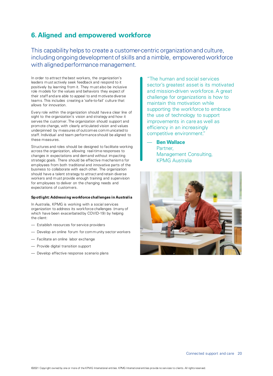## **6. Aligned and empowered workforce**

This capability helps to create a customer-centric organization and culture, including ongoing development of skills and a nimble, empowered workforce with aligned performance management.

In order to attract the best workers, the organization's leaders must actively seek feedback and respond to it positively by learning from it. They must also be inclusive role models for the values and behaviors they expect of their staff and are able to appeal to and motivate diverse teams. This includes creating a 'safe-to-fail' culture that allows for innovation.

Every role within the organization should have a clear line of sight to the organization's vision and strategy and how it serves the customer. The organization should support and promote change, with clearly articulated vision and values underpinned by measures of outcomes communicated to staff. Individual and team performance should be aligned to these measures.

Structures and roles should be designed to facilitate working across the organization, allowing real-time responses to changes in expectations and demand without impacting strategic goals. There should be effective mechanisms for employees from both traditional and innovative parts of the business to collaborate with each other. The organization should have a talent strategy to attract and retain diverse workers and must provide enough training and supervision for employees to deliver on the changing needs and expectations of customers.

#### **Spotlight: Addressing workforce challenges in Australia**

In Australia, KPMG is working with a social services organization to address its workforce challenges (many of which have been exacerbated by COVID-19) by helping the client:

- Establish resources for service providers
- Develop an online forum for community sector workers
- Facilitate an online labor exchange
- Provide digital transition support
- Develop effective response scenario plans

"The human and social services sector's greatest asset is its motivated and mission-driven workforce. A great challenge for organizations is how to maintain this motivation while supporting the workforce to embrace the use of technology to support improvements in care as well as efficiency in an increasingly competitive environment."

### — **Ben Wallace**

Partner, Management Consulting, KPMG Australia

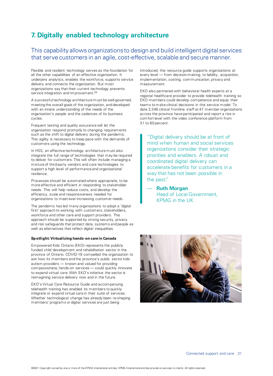## **7. Digitally enabled technology architecture**

This capability allows organizations to design and build intelligent digital services that serve customers in an agile, cost-effective, scalable and secure manner.

Flexible and resilient technology serves as the foundation for all the other capabilities of an effective organization. It underpins analytics, enables the workforce, supports service delivery and connects the organization. But most organizations say that their current technology prevents service integration and improvement.<sup>24</sup>

A successful technology architecture must be well-governed, meeting the overall goals of the organization, and developed with an innate understanding of the needs of the organization's people and the cadences of its business cycles.

Frequent testing and quality assurance will let the organization respond promptly to changing requirements such as the shift to digital delivery during the pandemic. This agility is necessary to keep pace with the demands of customers using the technology.

In HSS, an effective technology architecture must also integrate the full range of technologies that may be required to deliver for customers. This will often include managing a mixture of third-party vendors and core technologies to support a high level of performance and organizational resilience.

Processes should be automated where appropriate, to be more effective and efficient in responding to stakeholder needs. This will help reduce costs, and develop the efficiency, scale and responsiveness needed for organizations to meet ever-increasing customer needs.

The pandemic has led many organizations to adopt a 'digital first' approach to working with customers, stakeholders, workforce and other care and support providers. This approach should be supported by strong security, privacy and risk safeguards that protect data, systems and people as well as alternatives that reflect digital inequalities.

#### **Spotlight: Virtualizing hands-on care in Canada**

Empowered Kids Ontario (EKO) represents the publicly funded child development and rehabilitation sector in the province of Ontario. COVID-19 compelled the organization to ask how its members and the province's public sector kids autism providers — known and valued for providing compassionate, hands-on services — could quickly innovate to expand virtual care. With EKO's initiative the sector is reimagining service delivery now and in the future.

EKO's Virtual Care Resource Guide and accompanying telehealth training has enabled its members to quickly integrate or expand virtual care in their suite of services. Whether technological change has already been re-shaping members' programs or digital services are just being

introduced, the resource guide supports organizations at every level — from decision-making, to liability, acquisition, implementation, costing, communication, privacy and measurement.

EKO also partnered with behavioral health experts at a regional healthcare provider to provide telehealth training so EKO members could develop competence and equip their teams to make clinical decisions in this service model. To date 2,346 clinical frontline staff at 47 member organizations across the province have participated and report a rise in comfort level with the video conference platform from 31 to 80 percent.

"Digital delivery should be at front of mind when human and social services organizations consider their strategic priorities and enablers. A robust and coordinated digital delivery can accelerate benefits for customers in a way that has not been possible in the past."

— **Ruth Morgan**  Head of Local Government, KPMG in the UK

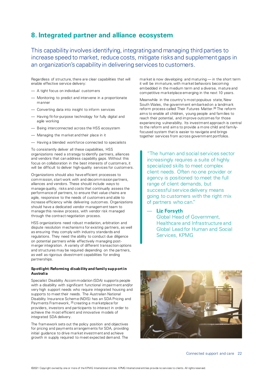## **8. Integrated partner and alliance ecosystem**

This capability involves identifying, integrating and managing third parties to increase speed to market, reduce costs, mitigate risks and supplement gaps in an organization's capability in delivering services to customers.

Regardless of structure, there are clear capabilities that will enable effective service delivery:

- A tight focus on individual customers
- Monitoring to predict and intervene in a proportionate manner
- Converting data into insight to inform services
- Having fit-for-purpose technology for fully digital and agile working
- Being interconnected across the HSS ecosystem
- Managing the market and their place in it
- Having a blended workforce connected to specialists

To consistently deliver all these capabilities, HSS organizations need a strategy to identify partners, alliances and vendors that can address capability gaps. Without this focus on collaboration in the best interests of customers, it will be difficult to deliver high-quality services for customers.

Organizations should also have efficient processes to commission, start work with and decommission partners, alliances and vendors. These should include ways to manage quality, risks and costs that continually assess the performance of partners, to ensure that value chains are agile, responsive to the needs of customers and able to increase efficiency while delivering outcomes. Organizations should have a dedicated vendor management team to manage this review process, with vendor risk managed through the contract negotiation process.

HSS organizations need robust mediation, arbitration and dispute resolution mechanisms for existing partners, as well as ensuring they comply with industry standards and regulations. They need the ability to conduct due diligence on potential partners while effectively managing postmerger integration. A variety of different transaction options and structures may be required depending on the partners, as well as rigorous divestment capabilities for ending partnerships.

#### **Spotlight: Reforming disability and family support in Australia**

Specialist Disability Accommodation (SDA) supports people with a disability with significant functional impairment and/or very high support needs who require integrated housing and supports to meet their needs. The Australian National Disability Insurance Scheme (NDIS) has an SDA Pricing and Payments Framework, <sup>25</sup> creating a marketplace for providers, investors and participants to interact in order to achieve the most efficient and innovative models of integrated SDA delivery.

The framework sets out the policy position and objectives for pricing and payments arrangements for SDA, providing initial guidance to drive market investment and achieve growth in supply required to meet expected demand. The

market is now developing and maturing — in the short term it will be immature, with market behaviors becoming embedded in the medium term and a diverse, mature and competitive marketplace emerging in the next 10 years.

Meanwhile in the country's most populous state, New South Wales, the government embarked on a landmark reform process called Their Futures Matter.<sup>26</sup> The reform aims to enable all children, young people and families to reach their potential, and improve outcomes for those experiencing vulnerability. Its investment approach is central to the reform and aims to provide a more child and familyfocused system that is easier to navigate and brings together services from across government portfolios.

"The human and social services sector increasingly requires a suite of highly specialized skills to meet complex client needs. Often no one provider or agency is positioned to meet the full range of client demands, but successful service delivery means going to customers with the right mix of partners who can."

— **Liz Forsyth** 

Global Head of Government, Healthcare and Infrastructure and Global Lead for Human and Social Services, KPMG

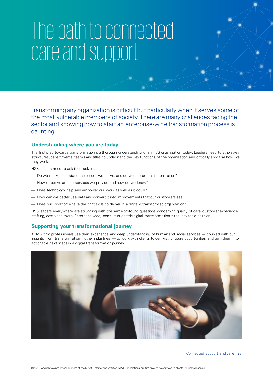## The path to connected care and support

Transforming any organization is difficult but particularly when it serves some of the most vulnerable members of society. There are many challenges facing the sector and knowing how to start an enterprise-wide transformation process is daunting.

### **Understanding where you are today**

The first step towards transformation is a thorough understanding of an HSS organization today. Leaders need to strip away structures, departments, teams and titles to understand the key functions of the organization and critically appraise how well they work.

HSS leaders need to ask themselves:

- Do we really understand the people we serve, and do we capture that information?
- How effective are the services we provide and how do we know?
- Does technology help and empower our work as well as it could?
- How can we better use data and convert it into improvements that our customers see?
- Does our workforce have the right skills to deliver in a digitally transformed organization?

HSS leaders everywhere are struggling with the same profound questions concerning quality of care, customer experience, staffing, costs and more. Enterprise-wide, consumer-centric digital transformation is the inevitable solution.

#### **Supporting your transformational journey**

KPMG firm professionals use their experience and deep understanding of human and social services — coupled with our insights from transformation in other industries — to work with clients to demystify future opportunities and turn them into actionable next steps in a digital transformation journey.

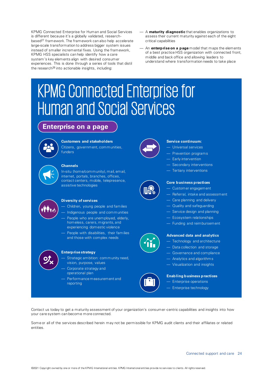KPMG Connected Enterprise for Human and Social Services is different because it's a globally validated, researchbased<sup>27</sup> framework. The framework can also help accelerate large-scale transformation to address bigger system issues instead of smaller incremental fixes. Using the framework, KPMG HSS specialists can help identify how a care system's key elements align with desired consumer experiences. This is done through a series of tools that distil the research<sup>28</sup> into actionable insights, including:

- A **maturity diagnostic** that enables organizations to assess their current maturity against each of the eight critical capabilities
- An **enterprise on a page** model that maps the elements of a best practice HSS organization with connected front, middle and back office and allowing leaders to understand where transformation needs to take place

## KPMG Connected Enterprise for Human and Social Services

## **Enterprise on a page**



#### **Customers and stakeholders**

Citizens, government, communities, funders

#### **Channels**

In-situ (home/community), mail, email, internet, portals, branches, offices, contact centers, mobile, telepresence, assistive technologies



#### **Diversity of services**

- Children, young people and families
- Indigenous people and communities
- People who are unemployed, elderly, homeless, carers, migrants, and experiencing domestic violence
- People with disabilities, their families and those with complex needs



#### **Enterprise strategy**

- Strategic ambition: community need, vision, purpose, values
- Corporate strategy and operational plan
- Performance measurement and reporting



#### **Service continuum:**

- Universal services
- Prevention programs
- Early intervention
- Secondary interventions
- Tertiary interventions



#### **Core business practices**

- Customer engagement
- Referral, intake and assessment
- Care planning and delivery
- Quality and safeguarding
- Service design and planning
- Ecosystem relationships
- Funding and reimbursement



#### **Advanced data and analytics**

- Technology and architecture
- Data collection and storage
- Governance and compliance
- Analytics and algorithms
- Visualization and insights

### **Enabling business practices** — Enterprise operations

— Enterprise technology

Contact us today to get a maturity assessment of your organization's consumer-centric capabilities and insights into how your care system can become more connected.

Some or all of the services described herein may not be permissible for KPMG audit clients and their affiliates or related entities.

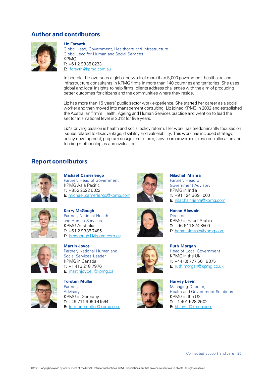### **Author and contributors**



Liz Forsyth

Global Head, Government, Healthcare and Infrastructure Global Lead for Human and Social Services KPMG  $T: +61293358233$ E: [lforsyth@kpmg.com.au](mailto:lforsyth@kpmg.com.au)

In her role, Liz oversees a global network of more than 5,000 government, healthcare and infrastructure consultants in KPMG firms in more than 140 countries and territories. She uses global and local insights to help firms' clients address challenges with the aim of producing better outcomes for citizens and the communities where they reside.

Liz has more than 15 years' public sector work experience. She started her career as a social worker and then moved into management consulting. Liz joined KPMG in 2002 and established the Australian firm's Health, Ageing and Human Services practice and went on to lead the sector at a national level in 2013 for five years.

Liz's driving passion is health and social policy reform. Her work has predominantly focused on issues related to disadvantage, disability and vulnerability. This work has included strategy, policy development, program design and reform, service improvement, resource allocation and funding methodologies and evaluation.

### **Report contributors**



Michael Camerlengo Partner, Head of Government KPMG Asia Pacific T: +852 2522 6022 E: [michael.camerlengo@kpmg.com](mailto:michael.camerlengo@kpmg.com)



Nilachal Mishra Partner, Head of Government Advisory KPMG in India T: +91 124 669 1000 E: [nilachalmishra@kpmg.co](mailto:nilachalmishra@kpmg.com)m



Kerry McGough Partner, National Health and Human Services KPMG Australia  $T: +61293357485$ E: [kmcgough1@kpmg.com.au](mailto:kmcgough1@kpmg.com.au)



Martin Joyce Partner, National Human and Social Services Leader KPMG in Canada T: +1 416 218 7976 E: [martinjoyce1@kpmg.ca](mailto:martinjoyce1@kpmg.ca)



Torsten Müller Partner, Advisory KPMG in Germany  $T: +49711906041564$ E: [torstenmueller@kpmg.com](mailto:torstenmueller@kpmg.com)



Ruth Morgan Head of Local Government KPMG in the UK  $T: +44(0)$  777 501 9375 E: [ruth.morgan@kpmg.co](mailto:ruth.morgan@kpmg.co.uk).uk



Harvey Levin Managing Director, Health and Government Solutions KPMG in the US  $T: +14015282602$ E: [hblevin@kpmg.co](mailto:hblevin@KPMG.com)m



Hanan Alowain **Director** KPMG in Saudi Arabia  $T: +966118748500$ E: [hananalowain@kpmg.c](mailto:hananalowain@kpmg.com)om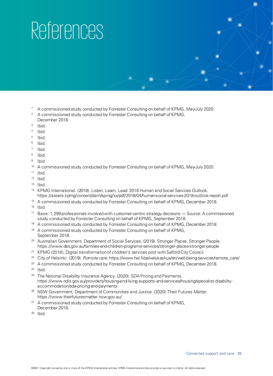## References

- <sup>1</sup> A commissioned study conducted by Forrester Consulting on behalf of KPMG, May-July 2020.
- <sup>2</sup> A commissioned study conducted by Forrester Consulting on behalf of KPMG, December 2018.
- 3 Ibid.
- 4 Ibid.
- 5 Ibid.
- 6 Ibid.
- 7 Ibid.
- 8 Ibid.
- 9 Ibid.
- <sup>10</sup> A commissioned study conducted by Forrester Consulting on behalf of KPMG, May-July 2020.
- $11$  Ibid.
- $12$  Ibid.
- <sup>13</sup> Ibid.
- <sup>14</sup> KPMG International. (2018). Listen, Learn, Lead: 2018 Human and Social Services Outlook. <https://assets.kpmg/content/dam/kpmg/xx/pdf/2018/04/human-social-services-2018-outlook-report.pdf>
- <sup>15</sup> A commissioned study conducted by Forrester Consulting on behalf of KPMG, December 2018.
- $16$  Ibid.
- <sup>17</sup> Base: 1,299 professionals involved with customer-centric strategy decisions Source: A commissioned study conducted by Forrester Consulting on behalf of KPMG, September 2018.
- <sup>18</sup> A commissioned study conducted by Forrester Consulting on behalf of KPMG, December 2018.
- <sup>19</sup> A commissioned study conducted by Forrester Consulting on behalf of KPMG, September 2018.
- <sup>20</sup> Australian Government, Department of Social Services. (2019). Stronger Places, Stronger People. <https://www.dss.gov.au/families-and-children-programs-services/stronger-places-stronger-people>
- <sup>21</sup> KPMG (2018), Digital transformation of children's services pilot with Salford City Council.
- <sup>22</sup> City of Helsinki. (2019). *Romote care.* [https://www.hel.fi/palvelukeskus/en/well-being-services/remote\\_care/](https://www.hel.fi/palvelukeskus/en/well-being-services/remote_care/)
- <sup>23</sup> A commissioned study conducted by Forrester Consulting on behalf of KPMG, December 2018.
- $24$  Ibid.
- <sup>25</sup> The National Disability Insurance Agency. (2020). SDA Pricing and Payments. [https://www.ndis.gov.au/providers/housing-and-living-supports-and-services/housing/specialist-disability](https://www.ndis.gov.au/providers/housing-and-living-supports-and-services/housing/specialist-disability-accommodation/sda-pricing-and-payments)[accommodation/sda-pricing-and-payments](https://www.ndis.gov.au/providers/housing-and-living-supports-and-services/housing/specialist-disability-accommodation/sda-pricing-and-payments)
- <sup>26</sup> NSW Government, Department of Communities and Justice. (2020). Their Futures Matter. <https://www.theirfuturesmatter.nsw.gov.au/>
- <sup>27</sup> A commissioned study conducted by Forrester Consulting on behalf of KPMG, December 2018.
- <sup>28</sup> Ibid.